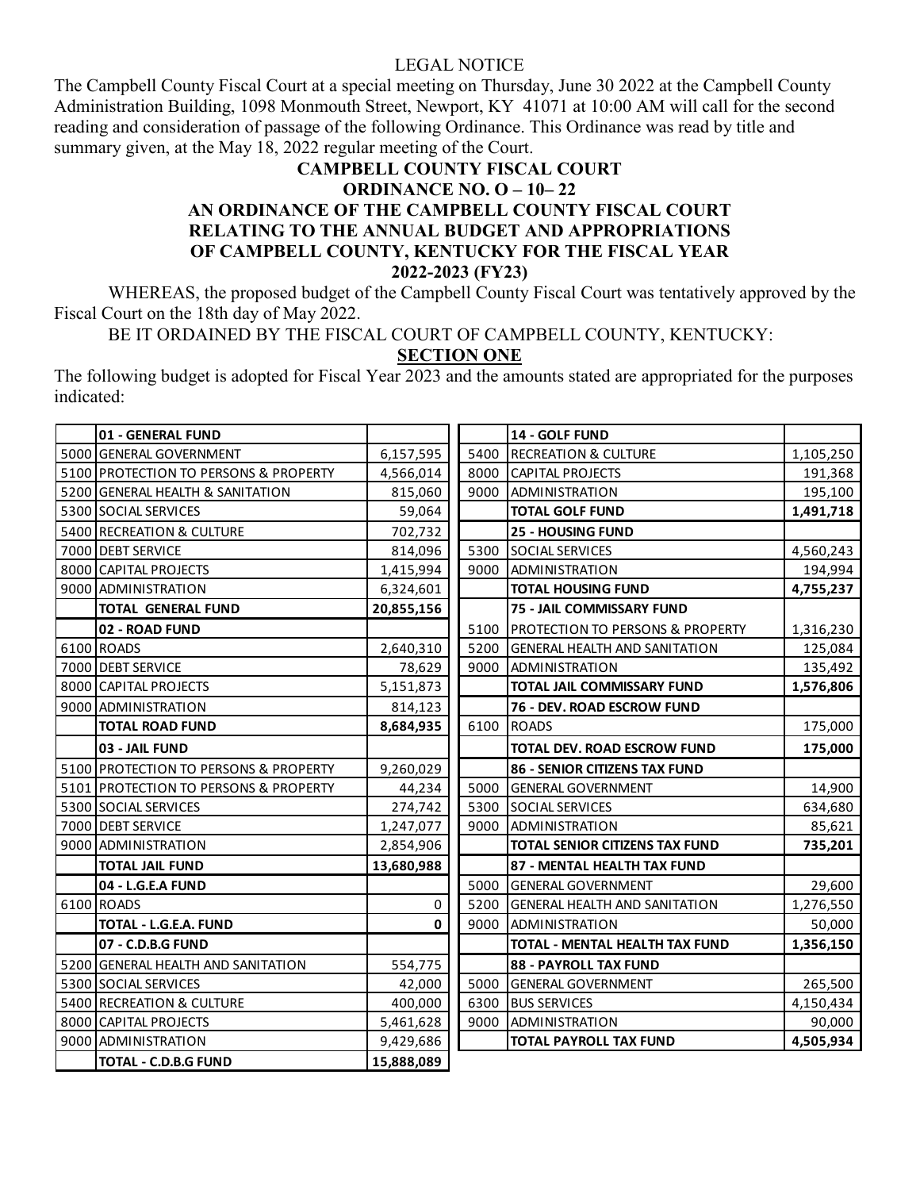## LEGAL NOTICE

The Campbell County Fiscal Court at a special meeting on Thursday, June 30 2022 at the Campbell County Administration Building, 1098 Monmouth Street, Newport, KY 41071 at 10:00 AM will call for the second reading and consideration of passage of the following Ordinance. This Ordinance was read by title and summary given, at the May 18, 2022 regular meeting of the Court.

## **CAMPBELL COUNTY FISCAL COURT ORDINANCE NO. O – 10– 22 AN ORDINANCE OF THE CAMPBELL COUNTY FISCAL COURT RELATING TO THE ANNUAL BUDGET AND APPROPRIATIONS OF CAMPBELL COUNTY, KENTUCKY FOR THE FISCAL YEAR 2022-2023 (FY23)**

WHEREAS, the proposed budget of the Campbell County Fiscal Court was tentatively approved by the Fiscal Court on the 18th day of May 2022.

BE IT ORDAINED BY THE FISCAL COURT OF CAMPBELL COUNTY, KENTUCKY:

**SECTION ONE**

The following budget is adopted for Fiscal Year 2023 and the amounts stated are appropriated for the purposes indicated:

| 01 - GENERAL FUND                     |            |      | 14 - GOLF FUND                              |           |
|---------------------------------------|------------|------|---------------------------------------------|-----------|
| 5000 GENERAL GOVERNMENT               | 6,157,595  | 5400 | <b>RECREATION &amp; CULTURE</b>             | 1,105,250 |
| 5100 PROTECTION TO PERSONS & PROPERTY | 4,566,014  | 8000 | <b>CAPITAL PROJECTS</b>                     | 191,368   |
| 5200 GENERAL HEALTH & SANITATION      | 815,060    | 9000 | <b>ADMINISTRATION</b>                       | 195,100   |
| 5300 SOCIAL SERVICES                  | 59,064     |      | <b>TOTAL GOLF FUND</b>                      | 1,491,718 |
| 5400 RECREATION & CULTURE             | 702,732    |      | <b>25 - HOUSING FUND</b>                    |           |
| 7000 DEBT SERVICE                     | 814,096    | 5300 | SOCIAL SERVICES                             | 4,560,243 |
| 8000 CAPITAL PROJECTS                 | 1,415,994  | 9000 | <b>ADMINISTRATION</b>                       | 194,994   |
| 9000 ADMINISTRATION                   | 6,324,601  |      | <b>TOTAL HOUSING FUND</b>                   | 4,755,237 |
| <b>TOTAL GENERAL FUND</b>             | 20,855,156 |      | 75 - JAIL COMMISSARY FUND                   |           |
| 02 - ROAD FUND                        |            | 5100 | <b>PROTECTION TO PERSONS &amp; PROPERTY</b> | 1,316,230 |
| 6100 ROADS                            | 2,640,310  | 5200 | <b>GENERAL HEALTH AND SANITATION</b>        | 125,084   |
| 7000 DEBT SERVICE                     | 78,629     | 9000 | <b>ADMINISTRATION</b>                       | 135,492   |
| 8000 CAPITAL PROJECTS                 | 5,151,873  |      | <b>TOTAL JAIL COMMISSARY FUND</b>           | 1,576,806 |
| 9000 ADMINISTRATION                   | 814,123    |      | 76 - DEV. ROAD ESCROW FUND                  |           |
| <b>TOTAL ROAD FUND</b>                | 8,684,935  | 6100 | <b>ROADS</b>                                | 175,000   |
| 03 - JAIL FUND                        |            |      | TOTAL DEV. ROAD ESCROW FUND                 | 175,000   |
| 5100 PROTECTION TO PERSONS & PROPERTY | 9,260,029  |      | <b>86 - SENIOR CITIZENS TAX FUND</b>        |           |
| 5101 PROTECTION TO PERSONS & PROPERTY | 44,234     | 5000 | <b>GENERAL GOVERNMENT</b>                   | 14,900    |
| 5300 SOCIAL SERVICES                  | 274,742    | 5300 | SOCIAL SERVICES                             | 634,680   |
| 7000 DEBT SERVICE                     | 1,247,077  |      | 9000 ADMINISTRATION                         | 85,621    |
| 9000 ADMINISTRATION                   | 2,854,906  |      | <b>TOTAL SENIOR CITIZENS TAX FUND</b>       | 735,201   |
| <b>TOTAL JAIL FUND</b>                | 13,680,988 |      | 87 - MENTAL HEALTH TAX FUND                 |           |
| 04 - L.G.E.A FUND                     |            | 5000 | <b>GENERAL GOVERNMENT</b>                   | 29,600    |
| 6100 ROADS                            | $\pmb{0}$  | 5200 | <b>GENERAL HEALTH AND SANITATION</b>        | 1,276,550 |
| TOTAL - L.G.E.A. FUND                 | 0          | 9000 | <b>ADMINISTRATION</b>                       | 50,000    |
| 07 - C.D.B.G FUND                     |            |      | TOTAL - MENTAL HEALTH TAX FUND              | 1,356,150 |
| 5200 GENERAL HEALTH AND SANITATION    | 554,775    |      | <b>88 - PAYROLL TAX FUND</b>                |           |
| 5300 SOCIAL SERVICES                  | 42,000     | 5000 | <b>GENERAL GOVERNMENT</b>                   | 265,500   |
| 5400 RECREATION & CULTURE             | 400,000    |      | 6300 BUS SERVICES                           | 4,150,434 |
| 8000 CAPITAL PROJECTS                 | 5,461,628  | 9000 | <b>ADMINISTRATION</b>                       | 90,000    |
| 9000 ADMINISTRATION                   | 9,429,686  |      | <b>TOTAL PAYROLL TAX FUND</b>               | 4,505,934 |
| <b>TOTAL - C.D.B.G FUND</b>           | 15,888,089 |      |                                             |           |